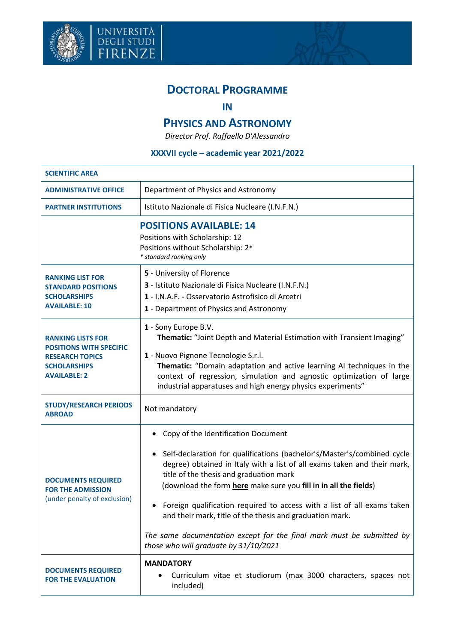



## **IN**

## **PHYSICS AND ASTRONOMY**

*Director Prof. Raffaello D'Alessandro*

## **XXXVII cycle – academic year 2021/2022**

| <b>SCIENTIFIC AREA</b>                                                                                                             |                                                                                                                                                                                                                                                                                                                                                                                                                                                                                                                                                                                   |  |  |
|------------------------------------------------------------------------------------------------------------------------------------|-----------------------------------------------------------------------------------------------------------------------------------------------------------------------------------------------------------------------------------------------------------------------------------------------------------------------------------------------------------------------------------------------------------------------------------------------------------------------------------------------------------------------------------------------------------------------------------|--|--|
| <b>ADMINISTRATIVE OFFICE</b>                                                                                                       | Department of Physics and Astronomy                                                                                                                                                                                                                                                                                                                                                                                                                                                                                                                                               |  |  |
| <b>PARTNER INSTITUTIONS</b>                                                                                                        | Istituto Nazionale di Fisica Nucleare (I.N.F.N.)                                                                                                                                                                                                                                                                                                                                                                                                                                                                                                                                  |  |  |
| <b>POSITIONS AVAILABLE: 14</b><br>Positions with Scholarship: 12<br>Positions without Scholarship: 2*<br>* standard ranking only   |                                                                                                                                                                                                                                                                                                                                                                                                                                                                                                                                                                                   |  |  |
| <b>RANKING LIST FOR</b><br><b>STANDARD POSITIONS</b><br><b>SCHOLARSHIPS</b><br><b>AVAILABLE: 10</b>                                | 5 - University of Florence<br>3 - Istituto Nazionale di Fisica Nucleare (I.N.F.N.)<br>1 - I.N.A.F. - Osservatorio Astrofisico di Arcetri<br>1 - Department of Physics and Astronomy                                                                                                                                                                                                                                                                                                                                                                                               |  |  |
| <b>RANKING LISTS FOR</b><br><b>POSITIONS WITH SPECIFIC</b><br><b>RESEARCH TOPICS</b><br><b>SCHOLARSHIPS</b><br><b>AVAILABLE: 2</b> | 1 - Sony Europe B.V.<br>Thematic: "Joint Depth and Material Estimation with Transient Imaging"<br>1 - Nuovo Pignone Tecnologie S.r.l.<br>Thematic: "Domain adaptation and active learning AI techniques in the<br>context of regression, simulation and agnostic optimization of large<br>industrial apparatuses and high energy physics experiments"                                                                                                                                                                                                                             |  |  |
| <b>STUDY/RESEARCH PERIODS</b><br><b>ABROAD</b>                                                                                     | Not mandatory                                                                                                                                                                                                                                                                                                                                                                                                                                                                                                                                                                     |  |  |
| <b>DOCUMENTS REQUIRED</b><br><b>FOR THE ADMISSION</b><br>(under penalty of exclusion)                                              | Copy of the Identification Document<br>٠<br>Self-declaration for qualifications (bachelor's/Master's/combined cycle<br>٠<br>degree) obtained in Italy with a list of all exams taken and their mark,<br>title of the thesis and graduation mark<br>(download the form here make sure you fill in in all the fields)<br>Foreign qualification required to access with a list of all exams taken<br>٠<br>and their mark, title of the thesis and graduation mark.<br>The same documentation except for the final mark must be submitted by<br>those who will graduate by 31/10/2021 |  |  |
| <b>DOCUMENTS REQUIRED</b><br><b>FOR THE EVALUATION</b>                                                                             | <b>MANDATORY</b><br>Curriculum vitae et studiorum (max 3000 characters, spaces not<br>included)                                                                                                                                                                                                                                                                                                                                                                                                                                                                                   |  |  |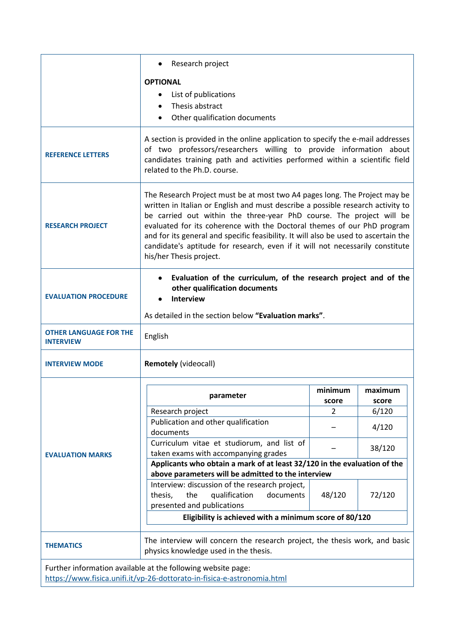|                                                                                                                                         | Research project                                                                                                                                                                                                                                                                                                                                                                                                                                                                                                    |                  |                  |  |
|-----------------------------------------------------------------------------------------------------------------------------------------|---------------------------------------------------------------------------------------------------------------------------------------------------------------------------------------------------------------------------------------------------------------------------------------------------------------------------------------------------------------------------------------------------------------------------------------------------------------------------------------------------------------------|------------------|------------------|--|
|                                                                                                                                         | <b>OPTIONAL</b><br>List of publications<br>Thesis abstract<br>Other qualification documents<br>$\bullet$                                                                                                                                                                                                                                                                                                                                                                                                            |                  |                  |  |
| <b>REFERENCE LETTERS</b>                                                                                                                | A section is provided in the online application to specify the e-mail addresses<br>of two professors/researchers willing to provide information about<br>candidates training path and activities performed within a scientific field<br>related to the Ph.D. course.                                                                                                                                                                                                                                                |                  |                  |  |
| <b>RESEARCH PROJECT</b>                                                                                                                 | The Research Project must be at most two A4 pages long. The Project may be<br>written in Italian or English and must describe a possible research activity to<br>be carried out within the three-year PhD course. The project will be<br>evaluated for its coherence with the Doctoral themes of our PhD program<br>and for its general and specific feasibility. It will also be used to ascertain the<br>candidate's aptitude for research, even if it will not necessarily constitute<br>his/her Thesis project. |                  |                  |  |
| <b>EVALUATION PROCEDURE</b>                                                                                                             | Evaluation of the curriculum, of the research project and of the<br>other qualification documents<br><b>Interview</b>                                                                                                                                                                                                                                                                                                                                                                                               |                  |                  |  |
|                                                                                                                                         | As detailed in the section below "Evaluation marks".                                                                                                                                                                                                                                                                                                                                                                                                                                                                |                  |                  |  |
| <b>OTHER LANGUAGE FOR THE</b><br><b>INTERVIEW</b>                                                                                       | English                                                                                                                                                                                                                                                                                                                                                                                                                                                                                                             |                  |                  |  |
| <b>INTERVIEW MODE</b>                                                                                                                   | <b>Remotely (videocall)</b>                                                                                                                                                                                                                                                                                                                                                                                                                                                                                         |                  |                  |  |
| <b>EVALUATION MARKS</b>                                                                                                                 | parameter                                                                                                                                                                                                                                                                                                                                                                                                                                                                                                           | minimum<br>score | maximum<br>score |  |
|                                                                                                                                         | Research project<br>Publication and other qualification                                                                                                                                                                                                                                                                                                                                                                                                                                                             | 2                | 6/120            |  |
|                                                                                                                                         | documents                                                                                                                                                                                                                                                                                                                                                                                                                                                                                                           |                  | 4/120            |  |
|                                                                                                                                         | Curriculum vitae et studiorum, and list of<br>taken exams with accompanying grades                                                                                                                                                                                                                                                                                                                                                                                                                                  |                  | 38/120           |  |
|                                                                                                                                         | Applicants who obtain a mark of at least 32/120 in the evaluation of the                                                                                                                                                                                                                                                                                                                                                                                                                                            |                  |                  |  |
|                                                                                                                                         | above parameters will be admitted to the interview<br>Interview: discussion of the research project,                                                                                                                                                                                                                                                                                                                                                                                                                |                  |                  |  |
|                                                                                                                                         | documents<br>thesis,<br>the<br>qualification<br>presented and publications                                                                                                                                                                                                                                                                                                                                                                                                                                          | 48/120           | 72/120           |  |
|                                                                                                                                         | Eligibility is achieved with a minimum score of 80/120                                                                                                                                                                                                                                                                                                                                                                                                                                                              |                  |                  |  |
| <b>THEMATICS</b>                                                                                                                        | The interview will concern the research project, the thesis work, and basic<br>physics knowledge used in the thesis.                                                                                                                                                                                                                                                                                                                                                                                                |                  |                  |  |
| Further information available at the following website page:<br>https://www.fisica.unifi.it/vp-26-dottorato-in-fisica-e-astronomia.html |                                                                                                                                                                                                                                                                                                                                                                                                                                                                                                                     |                  |                  |  |